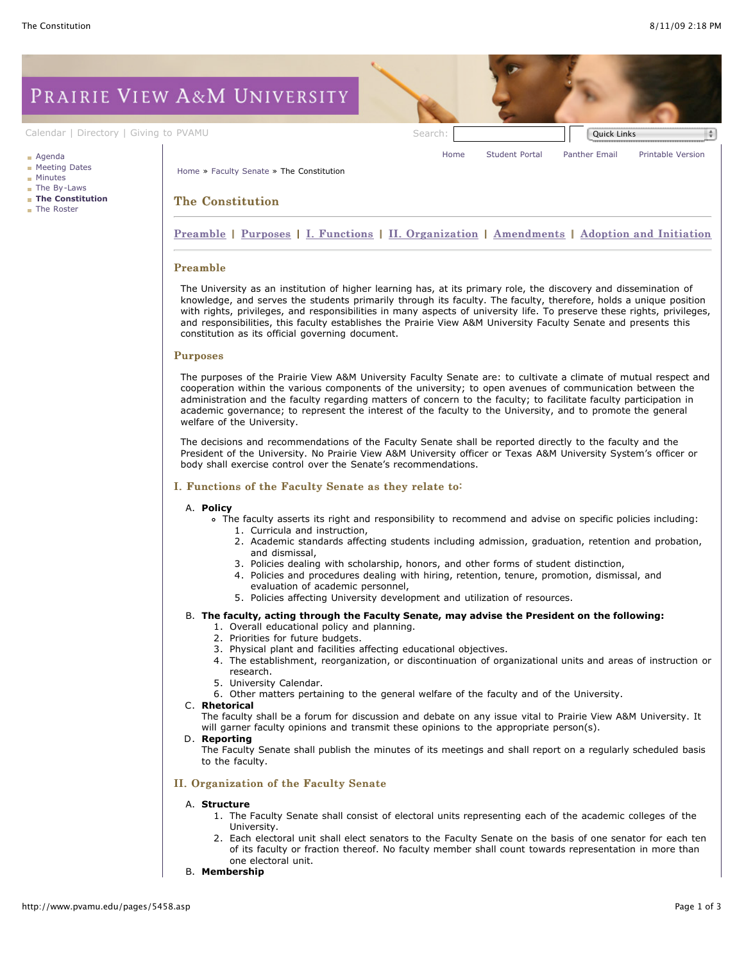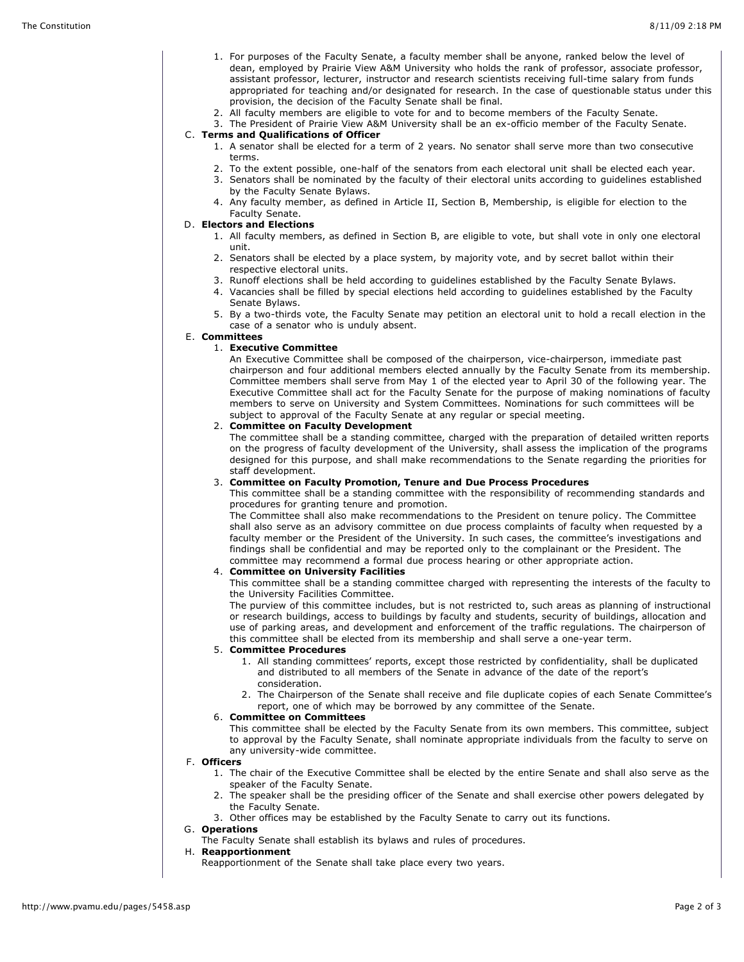- 1. For purposes of the Faculty Senate, a faculty member shall be anyone, ranked below the level of dean, employed by Prairie View A&M University who holds the rank of professor, associate professor, assistant professor, lecturer, instructor and research scientists receiving full-time salary from funds appropriated for teaching and/or designated for research. In the case of questionable status under this provision, the decision of the Faculty Senate shall be final.
- 2. All faculty members are eligible to vote for and to become members of the Faculty Senate.

3. The President of Prairie View A&M University shall be an ex-officio member of the Faculty Senate. C. **Terms and Qualifications of Officer**

- 1. A senator shall be elected for a term of 2 years. No senator shall serve more than two consecutive terms.
	- 2. To the extent possible, one-half of the senators from each electoral unit shall be elected each year.
	- 3. Senators shall be nominated by the faculty of their electoral units according to guidelines established by the Faculty Senate Bylaws.
	- 4. Any faculty member, as defined in Article II, Section B, Membership, is eligible for election to the Faculty Senate.

# D. **Electors and Elections**

- 1. All faculty members, as defined in Section B, are eligible to vote, but shall vote in only one electoral unit.
- 2. Senators shall be elected by a place system, by majority vote, and by secret ballot within their respective electoral units.
- 3. Runoff elections shall be held according to guidelines established by the Faculty Senate Bylaws.
- 4. Vacancies shall be filled by special elections held according to guidelines established by the Faculty Senate Bylaws.

5. By a two-thirds vote, the Faculty Senate may petition an electoral unit to hold a recall election in the case of a senator who is unduly absent.

### E. **Committees**

# 1. **Executive Committee**

An Executive Committee shall be composed of the chairperson, vice-chairperson, immediate past chairperson and four additional members elected annually by the Faculty Senate from its membership. Committee members shall serve from May 1 of the elected year to April 30 of the following year. The Executive Committee shall act for the Faculty Senate for the purpose of making nominations of faculty members to serve on University and System Committees. Nominations for such committees will be subject to approval of the Faculty Senate at any regular or special meeting.

### 2. **Committee on Faculty Development**

The committee shall be a standing committee, charged with the preparation of detailed written reports on the progress of faculty development of the University, shall assess the implication of the programs designed for this purpose, and shall make recommendations to the Senate regarding the priorities for staff development.

### 3. **Committee on Faculty Promotion, Tenure and Due Process Procedures**

This committee shall be a standing committee with the responsibility of recommending standards and procedures for granting tenure and promotion.

The Committee shall also make recommendations to the President on tenure policy. The Committee shall also serve as an advisory committee on due process complaints of faculty when requested by a faculty member or the President of the University. In such cases, the committee's investigations and findings shall be confidential and may be reported only to the complainant or the President. The committee may recommend a formal due process hearing or other appropriate action.

### 4. **Committee on University Facilities**

This committee shall be a standing committee charged with representing the interests of the faculty to the University Facilities Committee.

The purview of this committee includes, but is not restricted to, such areas as planning of instructional or research buildings, access to buildings by faculty and students, security of buildings, allocation and use of parking areas, and development and enforcement of the traffic regulations. The chairperson of this committee shall be elected from its membership and shall serve a one-year term.

### 5. **Committee Procedures**

- 1. All standing committees' reports, except those restricted by confidentiality, shall be duplicated and distributed to all members of the Senate in advance of the date of the report's consideration.
- 2. The Chairperson of the Senate shall receive and file duplicate copies of each Senate Committee's report, one of which may be borrowed by any committee of the Senate.

### 6. **Committee on Committees**

This committee shall be elected by the Faculty Senate from its own members. This committee, subject to approval by the Faculty Senate, shall nominate appropriate individuals from the faculty to serve on any university-wide committee.

### F. **Officers**

- 1. The chair of the Executive Committee shall be elected by the entire Senate and shall also serve as the speaker of the Faculty Senate.
- 2. The speaker shall be the presiding officer of the Senate and shall exercise other powers delegated by the Faculty Senate.
- 3. Other offices may be established by the Faculty Senate to carry out its functions.

#### G. **Operations**

The Faculty Senate shall establish its bylaws and rules of procedures.

#### H. **Reapportionment**

Reapportionment of the Senate shall take place every two years.